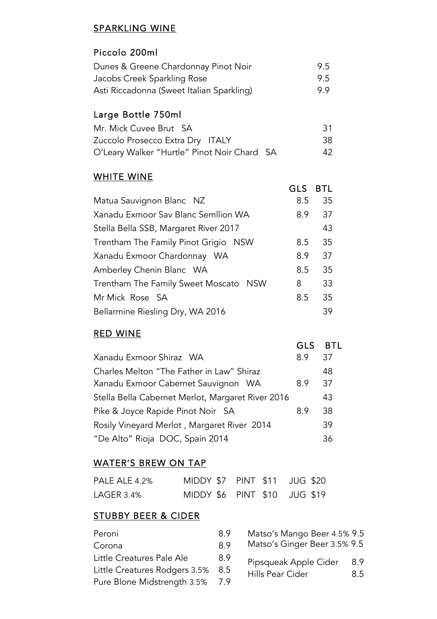#### SPARKLING WINE

#### Piccolo 200ml

| Dunes & Greene Chardonnay Pinot Noir      | 9.5 |
|-------------------------------------------|-----|
| Jacobs Creek Sparkling Rose               | 9.5 |
| Asti Riccadonna (Sweet Italian Sparkling) | 99  |

# Large Bottle 750ml

| Mr. Mick Cuvee Brut SA                      | -31 |
|---------------------------------------------|-----|
| Zuccolo Prosecco Extra Dry ITALY            | 38. |
| O'Leary Walker "Hurtle" Pinot Noir Chard SA | 42. |

#### WHITE WINE

|                                       | GLS | <b>BTL</b> |
|---------------------------------------|-----|------------|
| Matua Sauvignon Blanc NZ              | 8.5 | 35         |
| Xanadu Exmoor Sav Blanc Semllion WA   | 8.9 | 37         |
| Stella Bella SSB, Margaret River 2017 |     | 43         |
| Trentham The Family Pinot Grigio NSW  | 8.5 | 35         |
| Xanadu Exmoor Chardonnay WA           | 8.9 | 37         |
| Amberley Chenin Blanc WA              | 8.5 | 35         |
| Trentham The Family Sweet Moscato NSW | 8   | 33         |
| Mr Mick Rose SA                       | 8.5 | 35         |
| Bellarmine Riesling Dry, WA 2016      |     | 39         |

## RED WINE

|                                                   | GLS | <b>BTL</b> |
|---------------------------------------------------|-----|------------|
| Xanadu Exmoor Shiraz WA                           | 8.9 | 37         |
| Charles Melton "The Father in Law" Shiraz         |     | 48         |
| Xanadu Exmoor Cabernet Sauvignon WA               | 8.9 | 37         |
| Stella Bella Cabernet Merlot, Margaret River 2016 |     | 43         |
| Pike & Joyce Rapide Pinot Noir SA                 | 8.9 | 38         |
| Rosily Vineyard Merlot, Margaret River 2014       |     | 39         |
| "De Alto" Rioja DOC, Spain 2014                   |     | 36         |
|                                                   |     |            |

#### WATER'S BREW ON TAP

| PALE ALE 4.2% | MIDDY \$7 PINT \$11 JUG \$20 |  |
|---------------|------------------------------|--|
| LAGER 3.4%    | MIDDY \$6 PINT \$10 JUG \$19 |  |

## STUBBY BEER & CIDER

| Peroni                        | 8.9 | Matso's Mango Beer 4.5% 9.5  |     |
|-------------------------------|-----|------------------------------|-----|
| Corona                        | 89  | Matso's Ginger Beer 3.5% 9.5 |     |
| Little Creatures Pale Ale     | 8.9 | Pipsqueak Apple Cider        | 8.9 |
| Little Creatures Rodgers 3.5% | 8.5 | Hills Pear Cider             | 8.5 |
| Pure Blone Midstrength 3.5%   | 7.9 |                              |     |